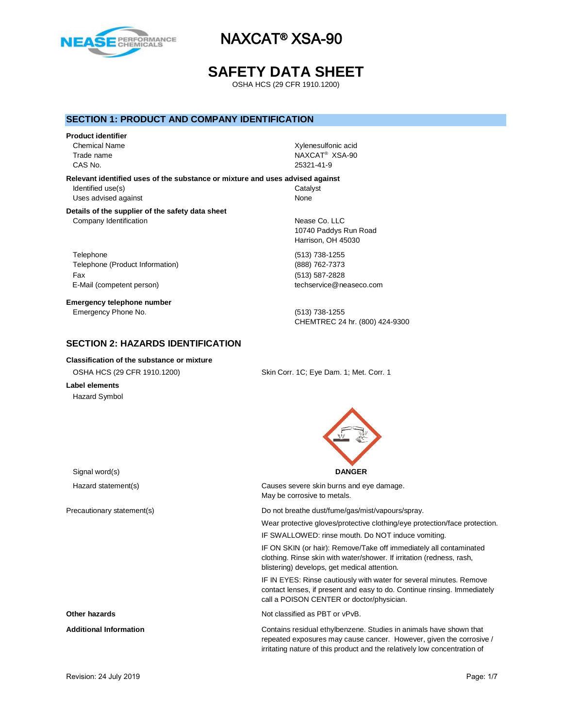

# **SAFETY DATA SHEET**

OSHA HCS (29 CFR 1910.1200)

## **SECTION 1: PRODUCT AND COMPANY IDENTIFICATION**

### **Product identifier**

Chemical Name **Xylenesulfonic acid** CAS No. 25321-41-9

Trade name NAXCAT® XSA-90

**Relevant identified uses of the substance or mixture and uses advised against** Identified use(s) Catalyst Uses advised against None

### **Details of the supplier of the safety data sheet** Company Identification **Nearly 19** Nease Co. LLC

Telephone (513) 738-1255 Telephone (Product Information) (888) 762-7373 Fax (513) 587-2828 E-Mail (competent person) example the techservice@neaseco.com

**Emergency telephone number** Emergency Phone No. (513) 738-1255

10740 Paddys Run Road Harrison, OH 45030

CHEMTREC 24 hr. (800) 424-9300

# **SECTION 2: HAZARDS IDENTIFICATION**

### **Classification of the substance or mixture**

OSHA HCS (29 CFR 1910.1200) Skin Corr. 1C; Eye Dam. 1; Met. Corr. 1 **Label elements**

Hazard Symbol



Hazard statement(s) Causes severe skin burns and eye damage. May be corrosive to metals.

Precautionary statement(s) example and the Do not breathe dust/fume/gas/mist/vapours/spray.

Wear protective gloves/protective clothing/eye protection/face protection.

IF SWALLOWED: rinse mouth. Do NOT induce vomiting.

IF ON SKIN (or hair): Remove/Take off immediately all contaminated clothing. Rinse skin with water/shower. If irritation (redness, rash, blistering) develops, get medical attention.

IF IN EYES: Rinse cautiously with water for several minutes. Remove contact lenses, if present and easy to do. Continue rinsing. Immediately call a POISON CENTER or doctor/physician.

**Other hazards Other hazards Not classified as PBT or vPvB.** 

**Additional Information** Contains residual ethylbenzene. Studies in animals have shown that repeated exposures may cause cancer. However, given the corrosive / irritating nature of this product and the relatively low concentration of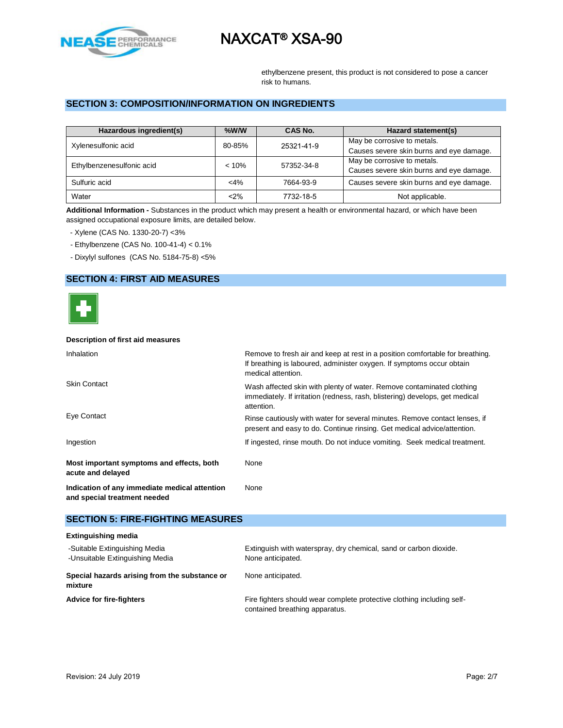

ethylbenzene present, this product is not considered to pose a cancer risk to humans.

# **SECTION 3: COMPOSITION/INFORMATION ON INGREDIENTS**

| Hazardous ingredient(s)   | $%$ W/W  | CAS No.    | Hazard statement(s)                      |
|---------------------------|----------|------------|------------------------------------------|
| Xylenesulfonic acid       | 80-85%   | 25321-41-9 | May be corrosive to metals.              |
|                           |          |            | Causes severe skin burns and eye damage. |
| Ethylbenzenesulfonic acid | $< 10\%$ | 57352-34-8 | May be corrosive to metals.              |
|                           |          |            | Causes severe skin burns and eye damage. |
| Sulfuric acid             | $<$ 4%   | 7664-93-9  | Causes severe skin burns and eye damage. |
| Water                     | $2\%$    | 7732-18-5  | Not applicable.                          |

**Additional Information -** Substances in the product which may present a health or environmental hazard, or which have been assigned occupational exposure limits, are detailed below.

- Xylene (CAS No. 1330-20-7) <3%

- Ethylbenzene (CAS No. 100-41-4) < 0.1%

- Dixylyl sulfones (CAS No. 5184-75-8) <5%

## **SECTION 4: FIRST AID MEASURES**



### **Description of first aid measures**

| <b>Inhalation</b>                                                             | Remove to fresh air and keep at rest in a position comfortable for breathing.<br>If breathing is laboured, administer oxygen. If symptoms occur obtain<br>medical attention. |  |  |
|-------------------------------------------------------------------------------|------------------------------------------------------------------------------------------------------------------------------------------------------------------------------|--|--|
| <b>Skin Contact</b>                                                           | Wash affected skin with plenty of water. Remove contaminated clothing<br>immediately. If irritation (redness, rash, blistering) develops, get medical<br>attention.          |  |  |
| Eye Contact                                                                   | Rinse cautiously with water for several minutes. Remove contact lenses, if<br>present and easy to do. Continue rinsing. Get medical advice/attention.                        |  |  |
| Ingestion                                                                     | If ingested, rinse mouth. Do not induce vomiting. Seek medical treatment.                                                                                                    |  |  |
| Most important symptoms and effects, both<br>acute and delayed                | None                                                                                                                                                                         |  |  |
| Indication of any immediate medical attention<br>and special treatment needed | None                                                                                                                                                                         |  |  |

### **SECTION 5: FIRE-FIGHTING MEASURES**

| <b>Extinguishing media</b>                                       |                                                                                                          |  |  |
|------------------------------------------------------------------|----------------------------------------------------------------------------------------------------------|--|--|
| -Suitable Extinguishing Media<br>-Unsuitable Extinguishing Media | Extinguish with waterspray, dry chemical, sand or carbon dioxide.<br>None anticipated.                   |  |  |
| Special hazards arising from the substance or<br>mixture         | None anticipated.                                                                                        |  |  |
| <b>Advice for fire-fighters</b>                                  | Fire fighters should wear complete protective clothing including self-<br>contained breathing apparatus. |  |  |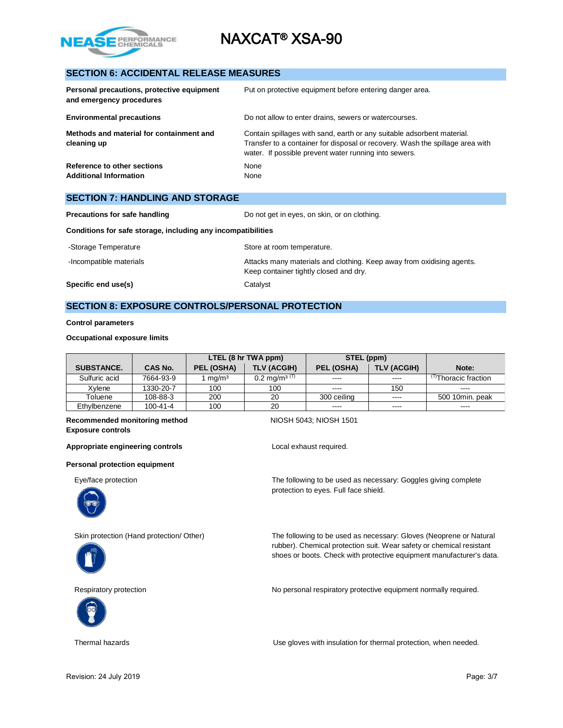

# **SECTION 6: ACCIDENTAL RELEASE MEASURES**

| Personal precautions, protective equipment<br>and emergency procedures | Put on protective equipment before entering danger area.                                                                                                                                                         |
|------------------------------------------------------------------------|------------------------------------------------------------------------------------------------------------------------------------------------------------------------------------------------------------------|
| <b>Environmental precautions</b>                                       | Do not allow to enter drains, sewers or watercourses.                                                                                                                                                            |
| Methods and material for containment and<br>cleaning up                | Contain spillages with sand, earth or any suitable adsorbent material.<br>Transfer to a container for disposal or recovery. Wash the spillage area with<br>water. If possible prevent water running into sewers. |
| Reference to other sections<br><b>Additional Information</b>           | None<br>None                                                                                                                                                                                                     |

| <b>SECTION 7: HANDLING AND STORAGE</b>                       |                                                                                                                 |  |  |
|--------------------------------------------------------------|-----------------------------------------------------------------------------------------------------------------|--|--|
| <b>Precautions for safe handling</b>                         | Do not get in eyes, on skin, or on clothing.                                                                    |  |  |
| Conditions for safe storage, including any incompatibilities |                                                                                                                 |  |  |
| -Storage Temperature                                         | Store at room temperature.                                                                                      |  |  |
| -Incompatible materials                                      | Attacks many materials and clothing. Keep away from oxidising agents.<br>Keep container tightly closed and dry. |  |  |
| Specific end use(s)                                          | Catalyst                                                                                                        |  |  |

# **SECTION 8: EXPOSURE CONTROLS/PERSONAL PROTECTION**

### **Control parameters**

### **Occupational exposure limits**

|                   |                | LTEL (8 hr TWA ppm) |                          | STEL (ppm)  |                    |                                 |
|-------------------|----------------|---------------------|--------------------------|-------------|--------------------|---------------------------------|
| <b>SUBSTANCE.</b> | <b>CAS No.</b> | PEL (OSHA)          | <b>TLV (ACGIH)</b>       | PEL (OSHA)  | <b>TLV (ACGIH)</b> | Note:                           |
| Sulfuric acid     | 7664-93-9      | mq/m <sup>3</sup>   | $0.2 \text{ mg/m}^3$ (T) | $- - - -$   | $- - - -$          | <sup>ரு</sup> Thoracic fraction |
| Xvlene            | 1330-20-7      | 100                 | 100                      | $- - - -$   | 150                | $- - - -$                       |
| Toluene           | 108-88-3       | 200                 | 20                       | 300 ceiling | $\cdots$           | 500 10min. peak                 |
| Ethvlbenzene      | $100 - 41 - 4$ | 100                 | 20                       | $\cdots$    | ----               | ----                            |

### **Recommended monitoring method NIOSH 5043; NIOSH 1501 Exposure controls**

Appropriate engineering controls<br>
Local exhaust required.

### **Personal protection equipment**







Eye/face protection The following to be used as necessary: Goggles giving complete protection to eyes. Full face shield.

Skin protection (Hand protection/ Other) The following to be used as necessary: Gloves (Neoprene or Natural rubber). Chemical protection suit. Wear safety or chemical resistant shoes or boots. Check with protective equipment manufacturer's data.

Respiratory protection **No personal respiratory protective equipment normally required.** 

Thermal hazards Use gloves with insulation for thermal protection, when needed.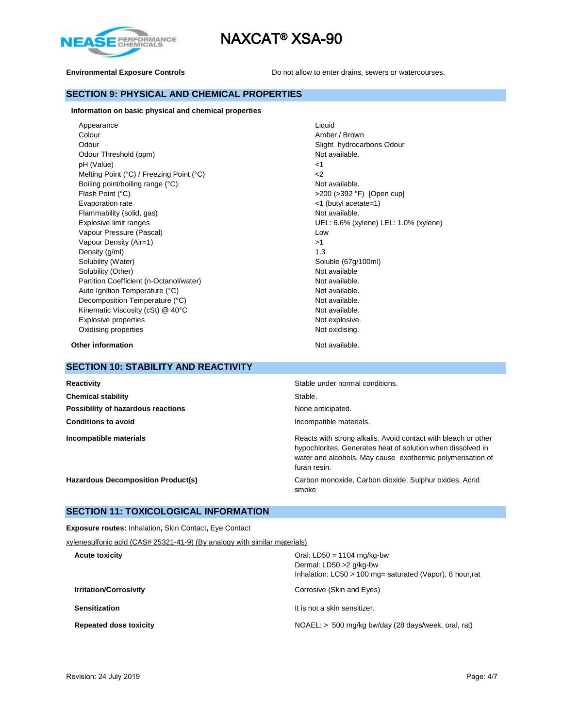



**Environmental Exposure Controls Do not allow to enter drains, sewers or watercourses.** 

# **SECTION 9: PHYSICAL AND CHEMICAL PROPERTIES**

### **Information on basic physical and chemical properties**

Appearance Liquid Colour **Amber / Brown** Odour **Slight hydrocarbons Odour** Slight hydrocarbons Odour Odour Threshold (ppm) Not available. pH (Value)  $\leq 1$ Melting Point (°C) / Freezing Point (°C)  $<$ 2 Boiling point/boiling range (°C): Not available. Flash Point (°C)  $>$ 200 (>392 °F) [Open cup] Evaporation rate <1 (butyl acetate=1) Flammability (solid, gas) Not available. Explosive limit ranges UEL: 6.6% (xylene) LEL: 1.0% (xylene) Vapour Pressure (Pascal) and the contract of the contract of the contract of the contract of the contract of the contract of the contract of the contract of the contract of the contract of the contract of the contract of t Vapour Density (Air=1)  $>1$ Density (g/ml) 1.3 Solubility (Water) Solubility (Water) Solubility (Water) Solubility (Water) Solubility (Water) Solubility (Other) Not available Partition Coefficient (n-Octanol/water) Not available. Auto Ignition Temperature (°C) and the control of the Not available. Decomposition Temperature (°C) Not available. Kinematic Viscosity (cSt)  $@$  40°C  $@$  Not available. Explosive properties Not explosive. Oxidising properties Not oxidising.

**Other information** Not available.

### **SECTION 10: STABILITY AND REACTIVITY**

| Reactivity                                | Stable under normal conditions.                                                                                                                                                                             |
|-------------------------------------------|-------------------------------------------------------------------------------------------------------------------------------------------------------------------------------------------------------------|
| <b>Chemical stability</b>                 | Stable.                                                                                                                                                                                                     |
| Possibility of hazardous reactions        | None anticipated.                                                                                                                                                                                           |
| <b>Conditions to avoid</b>                | Incompatible materials.                                                                                                                                                                                     |
| Incompatible materials                    | Reacts with strong alkalis. Avoid contact with bleach or other<br>hypochlorites. Generates heat of solution when dissolved in<br>water and alcohols. May cause exothermic polymerisation of<br>furan resin. |
| <b>Hazardous Decomposition Product(s)</b> | Carbon monoxide, Carbon dioxide, Sulphur oxides, Acrid<br>smoke                                                                                                                                             |

## **SECTION 11: TOXICOLOGICAL INFORMATION**

**Exposure routes:** Inhalation**,** Skin Contact**,** Eye Contact

| xylenesulfonic acid (CAS# 25321-41-9) (By analogy with similar materials) |                                                                                                                         |
|---------------------------------------------------------------------------|-------------------------------------------------------------------------------------------------------------------------|
| <b>Acute toxicity</b>                                                     | Oral: $LD50 = 1104$ mg/kg-bw<br>Dermal: LD50 > 2 g/kg-bw<br>Inhalation: $LCS0 > 100$ mg= saturated (Vapor), 8 hour, rat |
| <b>Irritation/Corrosivity</b>                                             | Corrosive (Skin and Eyes)                                                                                               |
| <b>Sensitization</b>                                                      | It is not a skin sensitizer.                                                                                            |
| <b>Repeated dose toxicity</b>                                             | NOAEL: > 500 mg/kg bw/day (28 days/week, oral, rat)                                                                     |
|                                                                           |                                                                                                                         |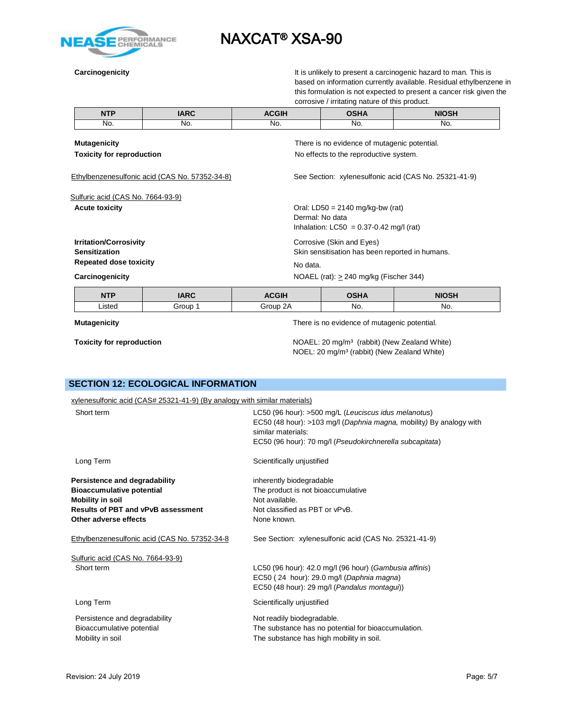

**Carcinogenicity Carcinogenicity It is unlikely to present a carcinogenic hazard to man. This is** based on information currently available. Residual ethylbenzene in this formulation is not expected to present a cancer risk given the corrosive / irritating nature of this product.

| <b>NTP</b>                        | <b>IARC</b>                                    | <b>ACGIH</b> | <b>OSHA</b>                                           | <b>NIOSH</b> |  |
|-----------------------------------|------------------------------------------------|--------------|-------------------------------------------------------|--------------|--|
| No.                               | No.                                            | No.          | No.                                                   | No.          |  |
| <b>Mutagenicity</b>               |                                                |              | There is no evidence of mutagenic potential.          |              |  |
| <b>Toxicity for reproduction</b>  |                                                |              | No effects to the reproductive system.                |              |  |
|                                   | Ethylbenzenesulfonic acid (CAS No. 57352-34-8) |              | See Section: xylenesulfonic acid (CAS No. 25321-41-9) |              |  |
| Sulfuric acid (CAS No. 7664-93-9) |                                                |              |                                                       |              |  |
| <b>Acute toxicity</b>             |                                                |              | Oral: LD50 = $2140$ mg/kg-bw (rat)                    |              |  |
|                                   |                                                |              | Dermal: No data                                       |              |  |
|                                   |                                                |              | Inhalation: $LC50 = 0.37 - 0.42$ mg/l (rat)           |              |  |
| <b>Irritation/Corrosivity</b>     |                                                |              | Corrosive (Skin and Eyes)                             |              |  |
| <b>Sensitization</b>              |                                                |              | Skin sensitisation has been reported in humans.       |              |  |
| <b>Repeated dose toxicity</b>     |                                                | No data.     |                                                       |              |  |
| Carcinogenicity                   |                                                |              | NOAEL (rat): $> 240$ mg/kg (Fischer 344)              |              |  |
|                                   |                                                |              |                                                       |              |  |

| NITO   | ADC   | <b>CGIH</b>    | א וויסר | ᄓᄋᅌ |
|--------|-------|----------------|---------|-----|
| .isted | ir∩⊔n | ב כ<br>$\ln n$ | No.     | No. |

### **Mutagenicity**

**Toxicity for reproduction**

There is no evidence of mutagenic potential.

NOAEL: 20 mg/m³ (rabbit) (New Zealand White) NOEL: 20 mg/m³ (rabbit) (New Zealand White)

# **SECTION 12: ECOLOGICAL INFORMATION**

| xylenesulfonic acid (CAS# 25321-41-9) (By analogy with similar materials) |                                                                                                                                                                                                               |
|---------------------------------------------------------------------------|---------------------------------------------------------------------------------------------------------------------------------------------------------------------------------------------------------------|
| Short term                                                                | LC50 (96 hour): >500 mg/L (Leuciscus idus melanotus)<br>EC50 (48 hour): >103 mg/l (Daphnia magna, mobility) By analogy with<br>similar materials:<br>EC50 (96 hour): 70 mg/l (Pseudokirchnerella subcapitata) |
| Long Term                                                                 | Scientifically unjustified                                                                                                                                                                                    |
| Persistence and degradability                                             | inherently biodegradable                                                                                                                                                                                      |
| <b>Bioaccumulative potential</b>                                          | The product is not bioaccumulative                                                                                                                                                                            |
| Mobility in soil                                                          | Not available.                                                                                                                                                                                                |
| <b>Results of PBT and vPvB assessment</b>                                 | Not classified as PBT or vPvB.                                                                                                                                                                                |
| Other adverse effects                                                     | None known.                                                                                                                                                                                                   |
| Ethylbenzenesulfonic acid (CAS No. 57352-34-8                             | See Section: xylenesulfonic acid (CAS No. 25321-41-9)                                                                                                                                                         |
| Sulfuric acid (CAS No. 7664-93-9)                                         |                                                                                                                                                                                                               |
| Short term                                                                | LC50 (96 hour): 42.0 mg/l (96 hour) (Gambusia affinis)                                                                                                                                                        |
|                                                                           | EC50 (24 hour): 29.0 mg/l (Daphnia magna)                                                                                                                                                                     |
|                                                                           | EC50 (48 hour): 29 mg/l (Pandalus montagui))                                                                                                                                                                  |
| Long Term                                                                 | Scientifically unjustified                                                                                                                                                                                    |
| Persistence and degradability                                             | Not readily biodegradable.                                                                                                                                                                                    |
| Bioaccumulative potential                                                 | The substance has no potential for bioaccumulation.                                                                                                                                                           |
| Mobility in soil                                                          | The substance has high mobility in soil.                                                                                                                                                                      |
|                                                                           |                                                                                                                                                                                                               |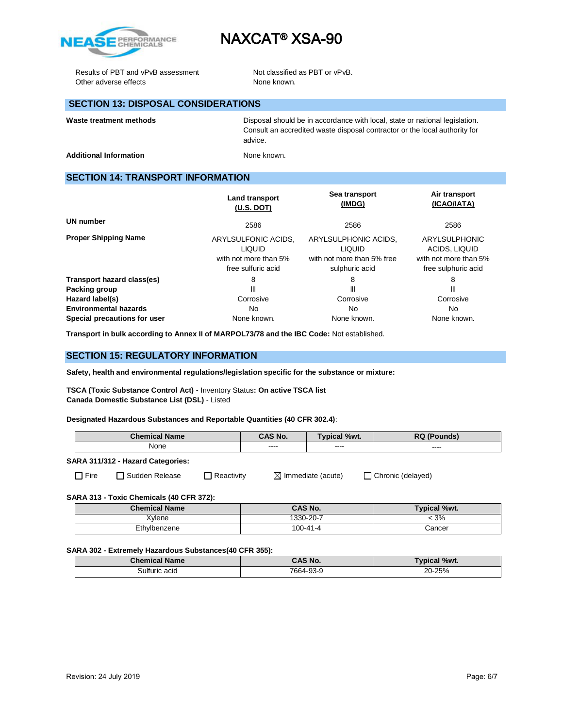

Results of PBT and vPvB assessment Not classified as PBT or vPvB. Other adverse effects None known.

# **SECTION 13: DISPOSAL CONSIDERATIONS**

Waste treatment methods **Disposal should be in accordance with local**, state or national legislation. Consult an accredited waste disposal contractor or the local authority for advice.

Additional Information **None known.** None known.

# **SECTION 14: TRANSPORT INFORMATION**

|                              | <b>Land transport</b><br>(U.S. DOT)                                                 | Sea transport<br>(IMDG)                                                               | Air transport<br>(ICAO/IATA)                                                          |
|------------------------------|-------------------------------------------------------------------------------------|---------------------------------------------------------------------------------------|---------------------------------------------------------------------------------------|
| UN number                    | 2586                                                                                | 2586                                                                                  | 2586                                                                                  |
| <b>Proper Shipping Name</b>  | ARYLSULFONIC ACIDS,<br><b>LIQUID</b><br>with not more than 5%<br>free sulfuric acid | ARYLSULPHONIC ACIDS,<br><b>LIQUID</b><br>with not more than 5% free<br>sulphuric acid | <b>ARYLSULPHONIC</b><br>ACIDS, LIQUID<br>with not more than 5%<br>free sulphuric acid |
| Transport hazard class(es)   | 8                                                                                   | 8                                                                                     | 8                                                                                     |
| Packing group                | Ш                                                                                   | Ш                                                                                     | Ш                                                                                     |
| Hazard label(s)              | Corrosive                                                                           | Corrosive                                                                             | Corrosive                                                                             |
| <b>Environmental hazards</b> | No.                                                                                 | No                                                                                    | No.                                                                                   |
| Special precautions for user | None known.                                                                         | None known.                                                                           | None known.                                                                           |

**Transport in bulk according to Annex II of MARPOL73/78 and the IBC Code:** Not established.

## **SECTION 15: REGULATORY INFORMATION**

**Safety, health and environmental regulations/legislation specific for the substance or mixture:**

**TSCA (Toxic Substance Control Act) -** Inventory Status**: On active TSCA list Canada Domestic Substance List (DSL)** - Listed

**Designated Hazardous Substances and Reportable Quantities (40 CFR 302.4)**:

| <b>Chemical</b><br><b>Name</b> | CAS No.            | %wt.<br><b>MICa</b> | DC.<br>unds<br>טא |
|--------------------------------|--------------------|---------------------|-------------------|
| None                           | $- - - -$<br>----- | ----<br>-----       | ----<br>_____     |

### **SARA 311/312 - Hazard Categories:**

□ Fire □ Sudden Release □ Reactivity ■ Immediate (acute) □ Chronic (delayed)

**SARA 313 - Toxic Chemicals (40 CFR 372):** 

| <b>Chemical Name</b> | <b>CAS No.</b> | <b>Typical %wt.</b> |
|----------------------|----------------|---------------------|
| Xvlene               | 1330-20-7      | 3%                  |
| Ethylbenzene         | 100-41-4       | Cancer              |

### **SARA 302 - Extremely Hazardous Substances(40 CFR 355):**

| <b>Chemical Name</b> | <b>CAS No.</b> | <b>Typical %wt.</b> |
|----------------------|----------------|---------------------|
| 3ulfuric acid        | 7664-93-9      | 20-25%              |